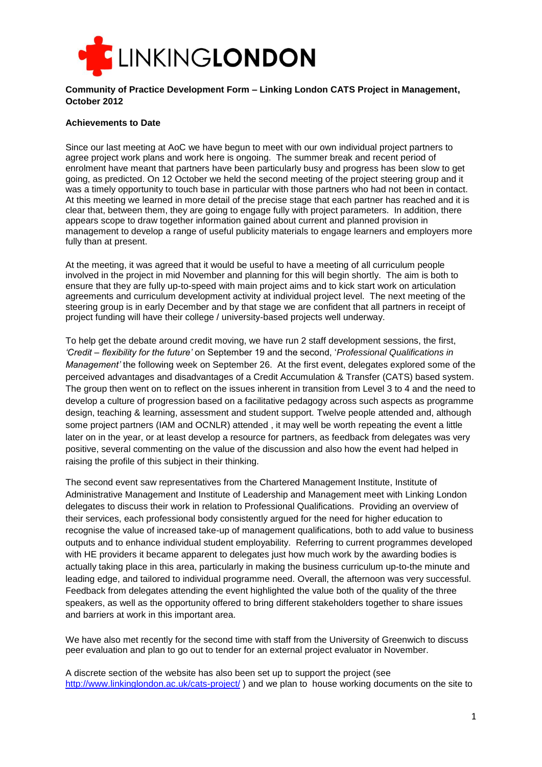

### **Community of Practice Development Form – Linking London CATS Project in Management, October 2012**

## **Achievements to Date**

Since our last meeting at AoC we have begun to meet with our own individual project partners to agree project work plans and work here is ongoing. The summer break and recent period of enrolment have meant that partners have been particularly busy and progress has been slow to get going, as predicted. On 12 October we held the second meeting of the project steering group and it was a timely opportunity to touch base in particular with those partners who had not been in contact. At this meeting we learned in more detail of the precise stage that each partner has reached and it is clear that, between them, they are going to engage fully with project parameters. In addition, there appears scope to draw together information gained about current and planned provision in management to develop a range of useful publicity materials to engage learners and employers more fully than at present.

At the meeting, it was agreed that it would be useful to have a meeting of all curriculum people involved in the project in mid November and planning for this will begin shortly. The aim is both to ensure that they are fully up-to-speed with main project aims and to kick start work on articulation agreements and curriculum development activity at individual project level. The next meeting of the steering group is in early December and by that stage we are confident that all partners in receipt of project funding will have their college / university-based projects well underway.

To help get the debate around credit moving, we have run 2 staff development sessions, the first, *'Credit – flexibility for the future'* on September 19 and the second, '*Professional Qualifications in Management'* the following week on September 26. At the first event, delegates explored some of the perceived advantages and disadvantages of a Credit Accumulation & Transfer (CATS) based system. The group then went on to reflect on the issues inherent in transition from Level 3 to 4 and the need to develop a culture of progression based on a facilitative pedagogy across such aspects as programme design, teaching & learning, assessment and student support. Twelve people attended and, although some project partners (IAM and OCNLR) attended , it may well be worth repeating the event a little later on in the year, or at least develop a resource for partners, as feedback from delegates was very positive, several commenting on the value of the discussion and also how the event had helped in raising the profile of this subject in their thinking.

The second event saw representatives from the Chartered Management Institute, Institute of Administrative Management and Institute of Leadership and Management meet with Linking London delegates to discuss their work in relation to Professional Qualifications. Providing an overview of their services, each professional body consistently argued for the need for higher education to recognise the value of increased take-up of management qualifications, both to add value to business outputs and to enhance individual student employability. Referring to current programmes developed with HE providers it became apparent to delegates just how much work by the awarding bodies is actually taking place in this area, particularly in making the business curriculum up-to-the minute and leading edge, and tailored to individual programme need. Overall, the afternoon was very successful. Feedback from delegates attending the event highlighted the value both of the quality of the three speakers, as well as the opportunity offered to bring different stakeholders together to share issues and barriers at work in this important area.

We have also met recently for the second time with staff from the University of Greenwich to discuss peer evaluation and plan to go out to tender for an external project evaluator in November.

A discrete section of the website has also been set up to support the project (see <http://www.linkinglondon.ac.uk/cats-project/> ) and we plan to house working documents on the site to